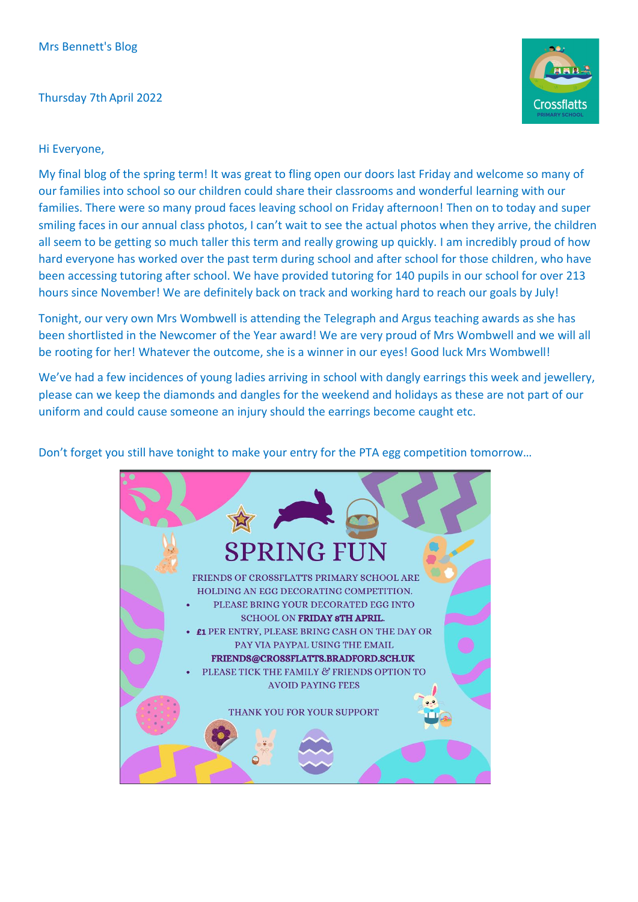## Thursday 7th April 2022



## Hi Everyone,

My final blog of the spring term! It was great to fling open our doors last Friday and welcome so many of our families into school so our children could share their classrooms and wonderful learning with our families. There were so many proud faces leaving school on Friday afternoon! Then on to today and super smiling faces in our annual class photos, I can't wait to see the actual photos when they arrive, the children all seem to be getting so much taller this term and really growing up quickly. I am incredibly proud of how hard everyone has worked over the past term during school and after school for those children, who have been accessing tutoring after school. We have provided tutoring for 140 pupils in our school for over 213 hours since November! We are definitely back on track and working hard to reach our goals by July!

Tonight, our very own Mrs Wombwell is attending the Telegraph and Argus teaching awards as she has been shortlisted in the Newcomer of the Year award! We are very proud of Mrs Wombwell and we will all be rooting for her! Whatever the outcome, she is a winner in our eyes! Good luck Mrs Wombwell!

We've had a few incidences of young ladies arriving in school with dangly earrings this week and jewellery, please can we keep the diamonds and dangles for the weekend and holidays as these are not part of our uniform and could cause someone an injury should the earrings become caught etc.

Don't forget you still have tonight to make your entry for the PTA egg competition tomorrow…